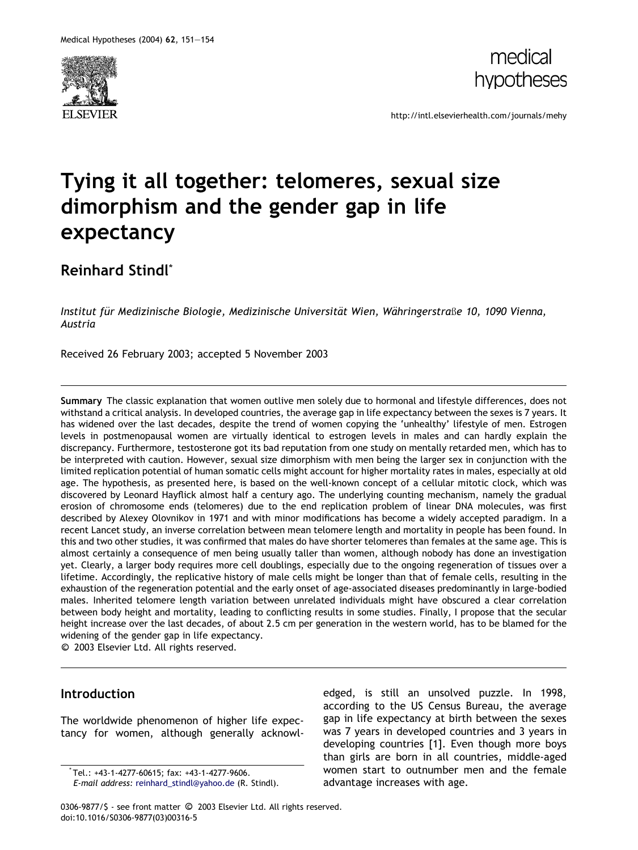



http://intl.elsevierhealth.com/journals/mehy

## Tying it all together: telomeres, sexual size dimorphism and the gender gap in life expectancy

Reinhard Stindl\*

Institut für Medizinische Biologie, Medizinische Universität Wien, Währingerstraße 10, 1090 Vienna, Austria

Received 26 February 2003; accepted 5 November 2003

Summary The classic explanation that women outlive men solely due to hormonal and lifestyle differences, does not withstand a critical analysis. In developed countries, the average gap in life expectancy between the sexes is 7 years. It has widened over the last decades, despite the trend of women copying the 'unhealthy' lifestyle of men. Estrogen levels in postmenopausal women are virtually identical to estrogen levels in males and can hardly explain the discrepancy. Furthermore, testosterone got its bad reputation from one study on mentally retarded men, which has to be interpreted with caution. However, sexual size dimorphism with men being the larger sex in conjunction with the limited replication potential of human somatic cells might account for higher mortality rates in males, especially at old age. The hypothesis, as presented here, is based on the well-known concept of a cellular mitotic clock, which was discovered by Leonard Hayflick almost half a century ago. The underlying counting mechanism, namely the gradual erosion of chromosome ends (telomeres) due to the end replication problem of linear DNA molecules, was first described by Alexey Olovnikov in 1971 and with minor modifications has become a widely accepted paradigm. In a recent Lancet study, an inverse correlation between mean telomere length and mortality in people has been found. In this and two other studies, it was confirmed that males do have shorter telomeres than females at the same age. This is almost certainly a consequence of men being usually taller than women, although nobody has done an investigation yet. Clearly, a larger body requires more cell doublings, especially due to the ongoing regeneration of tissues over a lifetime. Accordingly, the replicative history of male cells might be longer than that of female cells, resulting in the exhaustion of the regeneration potential and the early onset of age-associated diseases predominantly in large-bodied males. Inherited telomere length variation between unrelated individuals might have obscured a clear correlation between body height and mortality, leading to conflicting results in some studies. Finally, I propose that the secular height increase over the last decades, of about 2.5 cm per generation in the western world, has to be blamed for the widening of the gender gap in life expectancy.

<sup>c</sup> 2003 Elsevier Ltd. All rights reserved.

## Introduction

The worldwide phenomenon of higher life expectancy for women, although generally acknowledged, is still an unsolved puzzle. In 1998, according to the US Census Bureau, the average gap in life expectancy at birth between the sexes was 7 years in developed countries and 3 years in developing countries [1]. Even though more boys than girls are born in all countries, middle-aged women start to outnumber men and the female advantage increases with age.

0306-9877/\$ - see front matter © 2003 Elsevier Ltd. All rights reserved. doi:10.1016/S0306-9877(03)00316-5

<sup>\*</sup> Tel.: +43-1-4277-60615; fax: +43-1-4277-9606.

E-mail address: [reinhard\\_stindl@yahoo.de](mail to: reinhard_stindl@yahoo.de) (R. Stindl).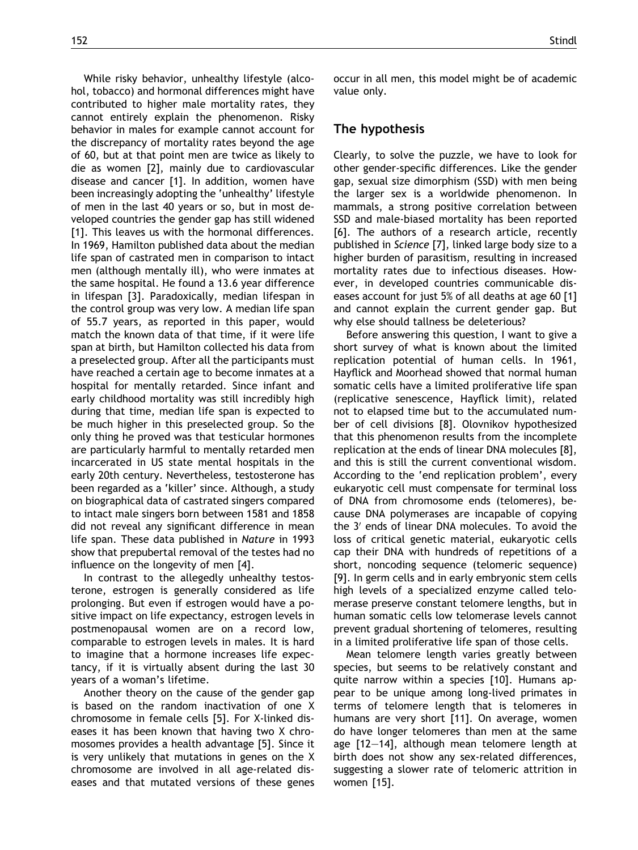While risky behavior, unhealthy lifestyle (alcohol, tobacco) and hormonal differences might have contributed to higher male mortality rates, they cannot entirely explain the phenomenon. Risky behavior in males for example cannot account for the discrepancy of mortality rates beyond the age of 60, but at that point men are twice as likely to die as women [2], mainly due to cardiovascular disease and cancer [1]. In addition, women have been increasingly adopting the 'unhealthy' lifestyle of men in the last 40 years or so, but in most developed countries the gender gap has still widened [1]. This leaves us with the hormonal differences. In 1969, Hamilton published data about the median life span of castrated men in comparison to intact men (although mentally ill), who were inmates at the same hospital. He found a 13.6 year difference in lifespan [3]. Paradoxically, median lifespan in the control group was very low. A median life span of 55.7 years, as reported in this paper, would match the known data of that time, if it were life span at birth, but Hamilton collected his data from a preselected group. After all the participants must have reached a certain age to become inmates at a hospital for mentally retarded. Since infant and early childhood mortality was still incredibly high during that time, median life span is expected to be much higher in this preselected group. So the only thing he proved was that testicular hormones are particularly harmful to mentally retarded men incarcerated in US state mental hospitals in the early 20th century. Nevertheless, testosterone has been regarded as a 'killer' since. Although, a study on biographical data of castrated singers compared to intact male singers born between 1581 and 1858 did not reveal any significant difference in mean life span. These data published in Nature in 1993 show that prepubertal removal of the testes had no influence on the longevity of men [4].

In contrast to the allegedly unhealthy testosterone, estrogen is generally considered as life prolonging. But even if estrogen would have a positive impact on life expectancy, estrogen levels in postmenopausal women are on a record low, comparable to estrogen levels in males. It is hard to imagine that a hormone increases life expectancy, if it is virtually absent during the last 30 years of a woman's lifetime.

Another theory on the cause of the gender gap is based on the random inactivation of one X chromosome in female cells [5]. For X-linked diseases it has been known that having two X chromosomes provides a health advantage [5]. Since it is very unlikely that mutations in genes on the X chromosome are involved in all age-related diseases and that mutated versions of these genes occur in all men, this model might be of academic value only.

## The hypothesis

Clearly, to solve the puzzle, we have to look for other gender-specific differences. Like the gender gap, sexual size dimorphism (SSD) with men being the larger sex is a worldwide phenomenon. In mammals, a strong positive correlation between SSD and male-biased mortality has been reported [6]. The authors of a research article, recently published in Science [7], linked large body size to a higher burden of parasitism, resulting in increased mortality rates due to infectious diseases. However, in developed countries communicable diseases account for just 5% of all deaths at age 60 [1] and cannot explain the current gender gap. But why else should tallness be deleterious?

Before answering this question, I want to give a short survey of what is known about the limited replication potential of human cells. In 1961, Hayflick and Moorhead showed that normal human somatic cells have a limited proliferative life span (replicative senescence, Hayflick limit), related not to elapsed time but to the accumulated number of cell divisions [8]. Olovnikov hypothesized that this phenomenon results from the incomplete replication at the ends of linear DNA molecules [8], and this is still the current conventional wisdom. According to the 'end replication problem', every eukaryotic cell must compensate for terminal loss of DNA from chromosome ends (telomeres), because DNA polymerases are incapable of copying the 3<sup>'</sup> ends of linear DNA molecules. To avoid the loss of critical genetic material, eukaryotic cells cap their DNA with hundreds of repetitions of a short, noncoding sequence (telomeric sequence) [9]. In germ cells and in early embryonic stem cells high levels of a specialized enzyme called telomerase preserve constant telomere lengths, but in human somatic cells low telomerase levels cannot prevent gradual shortening of telomeres, resulting in a limited proliferative life span of those cells.

Mean telomere length varies greatly between species, but seems to be relatively constant and quite narrow within a species [10]. Humans appear to be unique among long-lived primates in terms of telomere length that is telomeres in humans are very short [11]. On average, women do have longer telomeres than men at the same age [12–14], although mean telomere length at birth does not show any sex-related differences, suggesting a slower rate of telomeric attrition in women [15].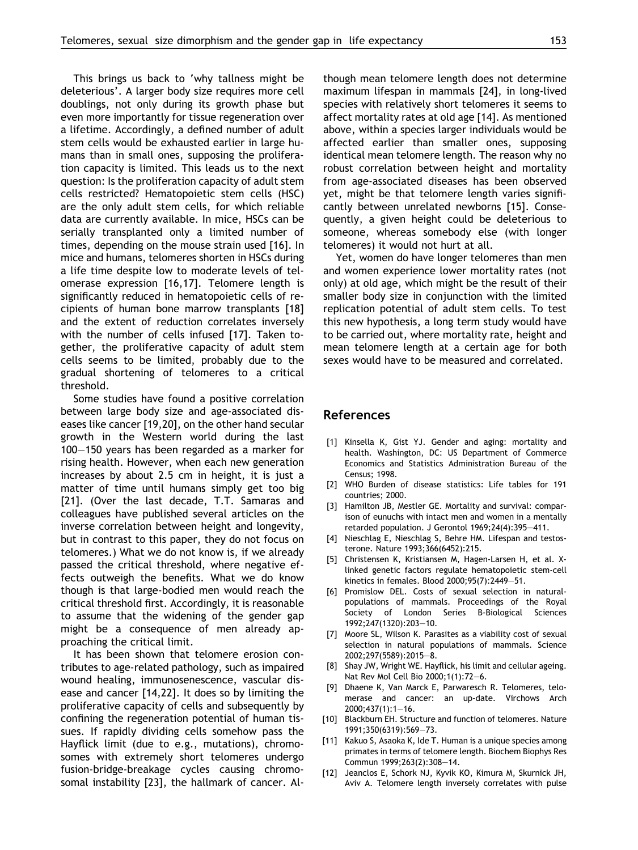This brings us back to 'why tallness might be deleterious'. A larger body size requires more cell doublings, not only during its growth phase but even more importantly for tissue regeneration over a lifetime. Accordingly, a defined number of adult stem cells would be exhausted earlier in large humans than in small ones, supposing the proliferation capacity is limited. This leads us to the next question: Is the proliferation capacity of adult stem cells restricted? Hematopoietic stem cells (HSC) are the only adult stem cells, for which reliable data are currently available. In mice, HSCs can be serially transplanted only a limited number of times, depending on the mouse strain used [16]. In mice and humans, telomeres shorten in HSCs during a life time despite low to moderate levels of telomerase expression [16,17]. Telomere length is significantly reduced in hematopoietic cells of recipients of human bone marrow transplants [18] and the extent of reduction correlates inversely with the number of cells infused [17]. Taken together, the proliferative capacity of adult stem cells seems to be limited, probably due to the gradual shortening of telomeres to a critical threshold.

Some studies have found a positive correlation between large body size and age-associated diseases like cancer [19,20], on the other hand secular growth in the Western world during the last 100–150 years has been regarded as a marker for rising health. However, when each new generation increases by about 2.5 cm in height, it is just a matter of time until humans simply get too big [21]. (Over the last decade, T.T. Samaras and colleagues have published several articles on the inverse correlation between height and longevity, but in contrast to this paper, they do not focus on telomeres.) What we do not know is, if we already passed the critical threshold, where negative effects outweigh the benefits. What we do know though is that large-bodied men would reach the critical threshold first. Accordingly, it is reasonable to assume that the widening of the gender gap might be a consequence of men already approaching the critical limit.

It has been shown that telomere erosion contributes to age-related pathology, such as impaired wound healing, immunosenescence, vascular disease and cancer [14,22]. It does so by limiting the proliferative capacity of cells and subsequently by confining the regeneration potential of human tissues. If rapidly dividing cells somehow pass the Hayflick limit (due to e.g., mutations), chromosomes with extremely short telomeres undergo fusion-bridge-breakage cycles causing chromosomal instability [23], the hallmark of cancer. Although mean telomere length does not determine maximum lifespan in mammals [24], in long-lived species with relatively short telomeres it seems to affect mortality rates at old age [14]. As mentioned above, within a species larger individuals would be affected earlier than smaller ones, supposing identical mean telomere length. The reason why no robust correlation between height and mortality from age-associated diseases has been observed yet, might be that telomere length varies significantly between unrelated newborns [15]. Consequently, a given height could be deleterious to someone, whereas somebody else (with longer telomeres) it would not hurt at all.

Yet, women do have longer telomeres than men and women experience lower mortality rates (not only) at old age, which might be the result of their smaller body size in conjunction with the limited replication potential of adult stem cells. To test this new hypothesis, a long term study would have to be carried out, where mortality rate, height and mean telomere length at a certain age for both sexes would have to be measured and correlated.

## References

- [1] Kinsella K, Gist YJ. Gender and aging: mortality and health. Washington, DC: US Department of Commerce Economics and Statistics Administration Bureau of the Census; 1998.
- [2] WHO Burden of disease statistics: Life tables for 191 countries; 2000.
- [3] Hamilton JB, Mestler GE. Mortality and survival: comparison of eunuchs with intact men and women in a mentally retarded population. J Gerontol 1969;24(4):395–411.
- [4] Nieschlag E, Nieschlag S, Behre HM. Lifespan and testosterone. Nature 1993;366(6452):215.
- [5] Christensen K, Kristiansen M, Hagen-Larsen H, et al. Xlinked genetic factors regulate hematopoietic stem-cell kinetics in females. Blood 2000;95(7):2449–51.
- [6] Promislow DEL. Costs of sexual selection in naturalpopulations of mammals. Proceedings of the Royal Society of London Series B-Biological Sciences 1992;247(1320):203–10.
- [7] Moore SL, Wilson K. Parasites as a viability cost of sexual selection in natural populations of mammals. Science 2002;297(5589):2015–8.
- [8] Shay JW, Wright WE. Hayflick, his limit and cellular ageing. Nat Rev Mol Cell Bio 2000;1(1):72–6.
- [9] Dhaene K, Van Marck E, Parwaresch R. Telomeres, telomerase and cancer: an up-date. Virchows Arch  $2000 \cdot 437(1) \cdot 1 - 16$
- [10] Blackburn EH. Structure and function of telomeres. Nature 1991;350(6319):569–73.
- [11] Kakuo S, Asaoka K, Ide T. Human is a unique species among primates in terms of telomere length. Biochem Biophys Res Commun 1999;263(2):308–14.
- [12] Jeanclos E, Schork NJ, Kyvik KO, Kimura M, Skurnick JH, Aviv A. Telomere length inversely correlates with pulse